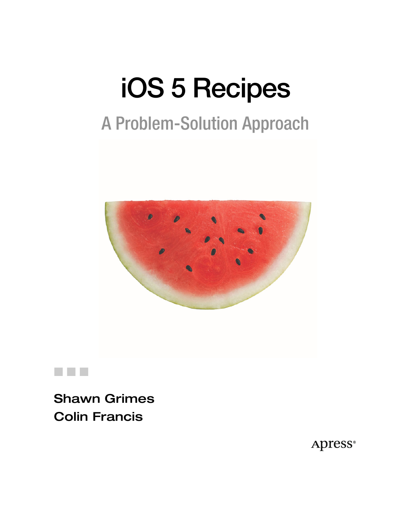# **iOS 5 Recipes**

#### A Problem-Solution Approach





Shawn Grimes Colin Francis

Apress®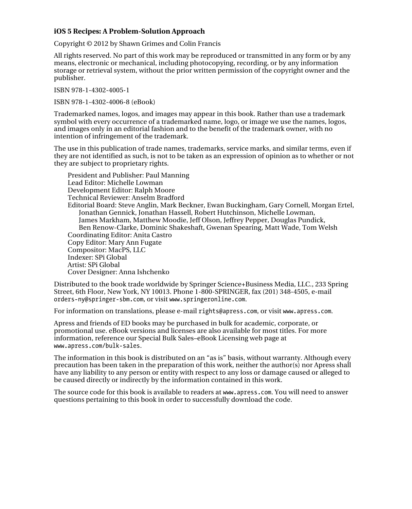#### **iOS 5 Recipes: A Problem-Solution Approach**

Copyright © 2012 by Shawn Grimes and Colin Francis

All rights reserved. No part of this work may be reproduced or transmitted in any form or by any means, electronic or mechanical, including photocopying, recording, or by any information storage or retrieval system, without the prior written permission of the copyright owner and the publisher.

ISBN 978-1-4302-4005-1

ISBN 978-1-4302-4006-8 (eBook)

Trademarked names, logos, and images may appear in this book. Rather than use a trademark symbol with every occurrence of a trademarked name, logo, or image we use the names, logos, and images only in an editorial fashion and to the benefit of the trademark owner, with no intention of infringement of the trademark.

The use in this publication of trade names, trademarks, service marks, and similar terms, even if they are not identified as such, is not to be taken as an expression of opinion as to whether or not they are subject to proprietary rights.

President and Publisher: Paul Manning Lead Editor: Michelle Lowman Development Editor: Ralph Moore Technical Reviewer: Anselm Bradford Editorial Board: Steve Anglin, Mark Beckner, Ewan Buckingham, Gary Cornell, Morgan Ertel, Jonathan Gennick, Jonathan Hassell, Robert Hutchinson, Michelle Lowman, James Markham, Matthew Moodie, Jeff Olson, Jeffrey Pepper, Douglas Pundick, Ben Renow-Clarke, Dominic Shakeshaft, Gwenan Spearing, Matt Wade, Tom Welsh Coordinating Editor: Anita Castro Copy Editor: Mary Ann Fugate Compositor: MacPS, LLC Indexer: SPi Global Artist: SPi Global Cover Designer: Anna Ishchenko

Distributed to the book trade worldwide by Springer Science+Business Media, LLC., 233 Spring Street, 6th Floor, New York, NY 10013. Phone 1-800-SPRINGER, fax (201) 348-4505, e-mail orders-ny@springer-sbm.com, or visit www.springeronline.com.

For information on translations, please e-mail rights@apress.com, or visit www.apress.com.

Apress and friends of ED books may be purchased in bulk for academic, corporate, or promotional use. eBook versions and licenses are also available for most titles. For more information, reference our Special Bulk Sales–eBook Licensing web page at www.apress.com/bulk-sales.

The information in this book is distributed on an "as is" basis, without warranty. Although every precaution has been taken in the preparation of this work, neither the author(s) nor Apress shall have any liability to any person or entity with respect to any loss or damage caused or alleged to be caused directly or indirectly by the information contained in this work.

The source code for this book is available to readers at www.apress.com. You will need to answer questions pertaining to this book in order to successfully download the code.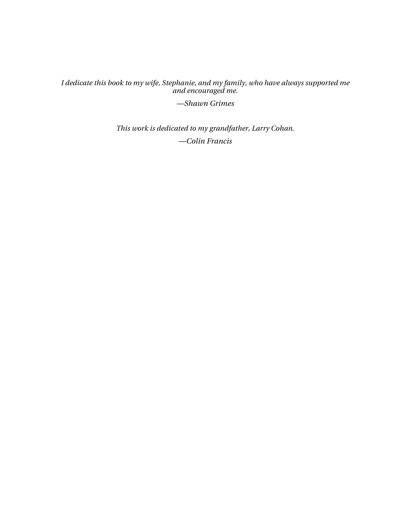*I dedicate this book to my wife, Stephanie, and my family, who have always supported me and encouraged me.* 

*—Shawn Grimes* 

*This work is dedicated to my grandfather, Larry Cohan. —Colin Francis*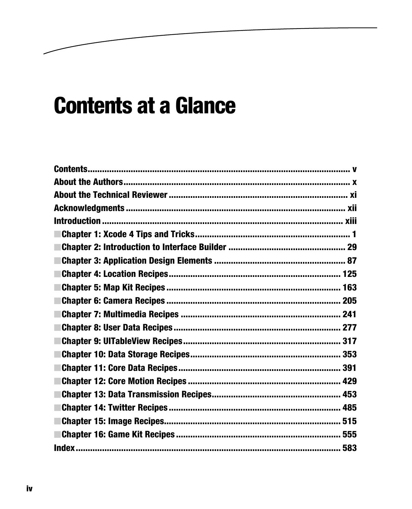### **Contents at a Glance**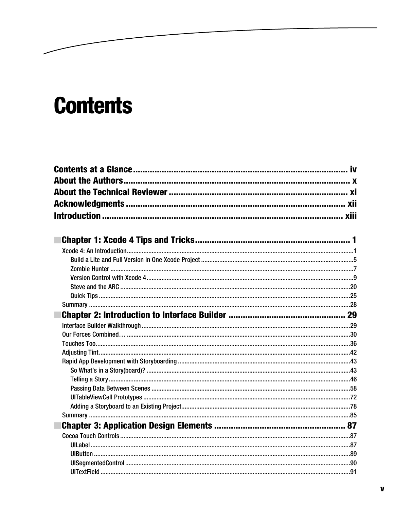### **Contents**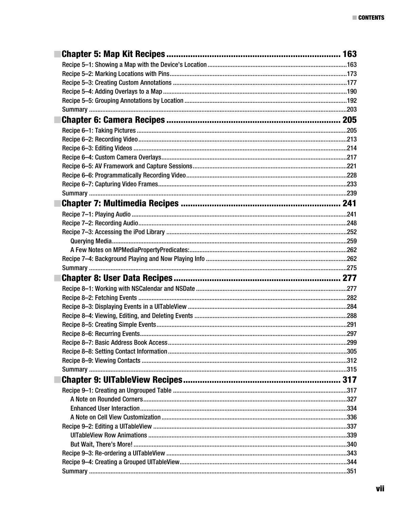| 317 |
|-----|
|     |
|     |
|     |
|     |
|     |
|     |
|     |
|     |
|     |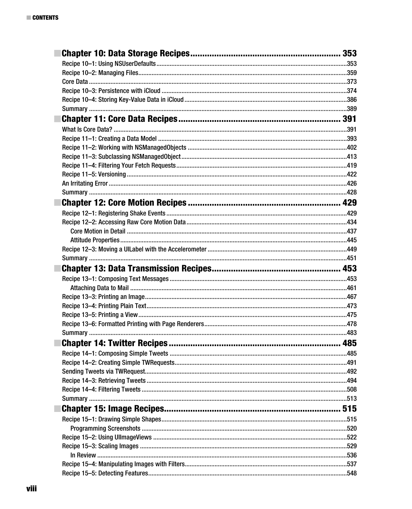| .508 |
|------|
|      |
|      |
|      |
|      |
|      |
|      |
|      |
|      |
|      |
|      |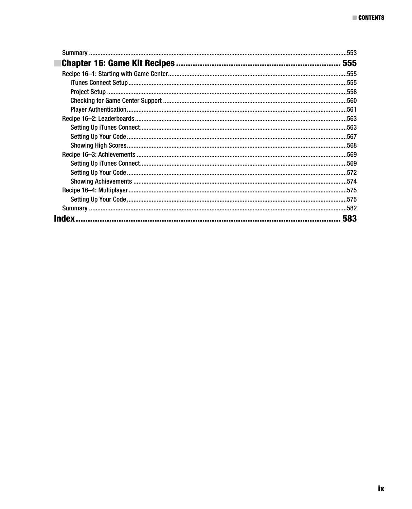| Index | 583 |
|-------|-----|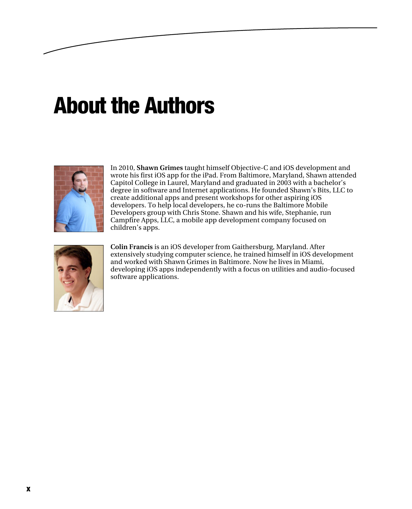### **About the Authors**



In 2010, **Shawn Grimes** taught himself Objective-C and iOS development and wrote his first iOS app for the iPad. From Baltimore, Maryland, Shawn attended Capitol College in Laurel, Maryland and graduated in 2003 with a bachelor's degree in software and Internet applications. He founded Shawn's Bits, LLC to create additional apps and present workshops for other aspiring iOS developers. To help local developers, he co-runs the Baltimore Mobile Developers group with Chris Stone. Shawn and his wife, Stephanie, run Campfire Apps, LLC, a mobile app development company focused on children's apps.



**Colin Francis** is an iOS developer from Gaithersburg, Maryland. After extensively studying computer science, he trained himself in iOS development and worked with Shawn Grimes in Baltimore. Now he lives in Miami, developing iOS apps independently with a focus on utilities and audio-focused software applications.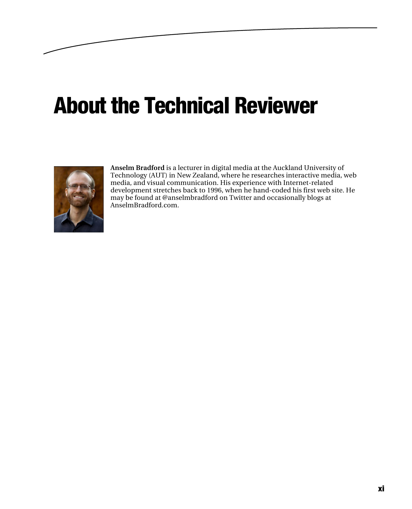## **About the Technical Reviewer**



**Anselm Bradford** is a lecturer in digital media at the Auckland University of Technology (AUT) in New Zealand, where he researches interactive media, web media, and visual communication. His experience with Internet-related development stretches back to 1996, when he hand-coded his first web site. He may be found at @anselmbradford on Twitter and occasionally blogs at AnselmBradford.com.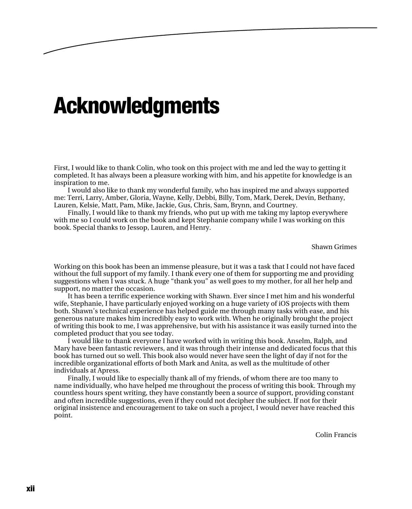#### **Acknowledgments**

First, I would like to thank Colin, who took on this project with me and led the way to getting it completed. It has always been a pleasure working with him, and his appetite for knowledge is an inspiration to me.

I would also like to thank my wonderful family, who has inspired me and always supported me: Terri, Larry, Amber, Gloria, Wayne, Kelly, Debbi, Billy, Tom, Mark, Derek, Devin, Bethany, Lauren, Kelsie, Matt, Pam, Mike, Jackie, Gus, Chris, Sam, Brynn, and Courtney.

Finally, I would like to thank my friends, who put up with me taking my laptop everywhere with me so I could work on the book and kept Stephanie company while I was working on this book. Special thanks to Jessop, Lauren, and Henry.

Shawn Grimes

Working on this book has been an immense pleasure, but it was a task that I could not have faced without the full support of my family. I thank every one of them for supporting me and providing suggestions when I was stuck. A huge "thank you" as well goes to my mother, for all her help and support, no matter the occasion.

It has been a terrific experience working with Shawn. Ever since I met him and his wonderful wife, Stephanie, I have particularly enjoyed working on a huge variety of iOS projects with them both. Shawn's technical experience has helped guide me through many tasks with ease, and his generous nature makes him incredibly easy to work with. When he originally brought the project of writing this book to me, I was apprehensive, but with his assistance it was easily turned into the completed product that you see today.

I would like to thank everyone I have worked with in writing this book. Anselm, Ralph, and Mary have been fantastic reviewers, and it was through their intense and dedicated focus that this book has turned out so well. This book also would never have seen the light of day if not for the incredible organizational efforts of both Mark and Anita, as well as the multitude of other individuals at Apress.

Finally, I would like to especially thank all of my friends, of whom there are too many to name individually, who have helped me throughout the process of writing this book. Through my countless hours spent writing, they have constantly been a source of support, providing constant and often incredible suggestions, even if they could not decipher the subject. If not for their original insistence and encouragement to take on such a project, I would never have reached this point.

Colin Francis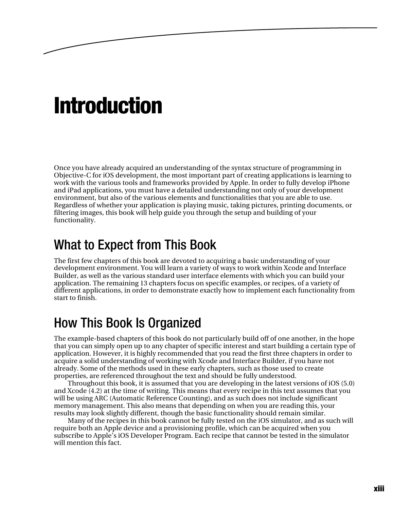### **Introduction**

Once you have already acquired an understanding of the syntax structure of programming in Objective-C for iOS development, the most important part of creating applications is learning to work with the various tools and frameworks provided by Apple. In order to fully develop iPhone and iPad applications, you must have a detailed understanding not only of your development environment, but also of the various elements and functionalities that you are able to use. Regardless of whether your application is playing music, taking pictures, printing documents, or filtering images, this book will help guide you through the setup and building of your functionality.

#### What to Expect from This Book

The first few chapters of this book are devoted to acquiring a basic understanding of your development environment. You will learn a variety of ways to work within Xcode and Interface Builder, as well as the various standard user interface elements with which you can build your application. The remaining 13 chapters focus on specific examples, or recipes, of a variety of different applications, in order to demonstrate exactly how to implement each functionality from start to finish.

#### How This Book Is Organized

The example-based chapters of this book do not particularly build off of one another, in the hope that you can simply open up to any chapter of specific interest and start building a certain type of application. However, it is highly recommended that you read the first three chapters in order to acquire a solid understanding of working with Xcode and Interface Builder, if you have not already. Some of the methods used in these early chapters, such as those used to create properties, are referenced throughout the text and should be fully understood.

Throughout this book, it is assumed that you are developing in the latest versions of iOS (5.0) and Xcode (4.2) at the time of writing. This means that every recipe in this text assumes that you will be using ARC (Automatic Reference Counting), and as such does not include significant memory management. This also means that depending on when you are reading this, your results may look slightly different, though the basic functionality should remain similar.

Many of the recipes in this book cannot be fully tested on the iOS simulator, and as such will require both an Apple device and a provisioning profile, which can be acquired when you subscribe to Apple's iOS Developer Program. Each recipe that cannot be tested in the simulator will mention this fact.